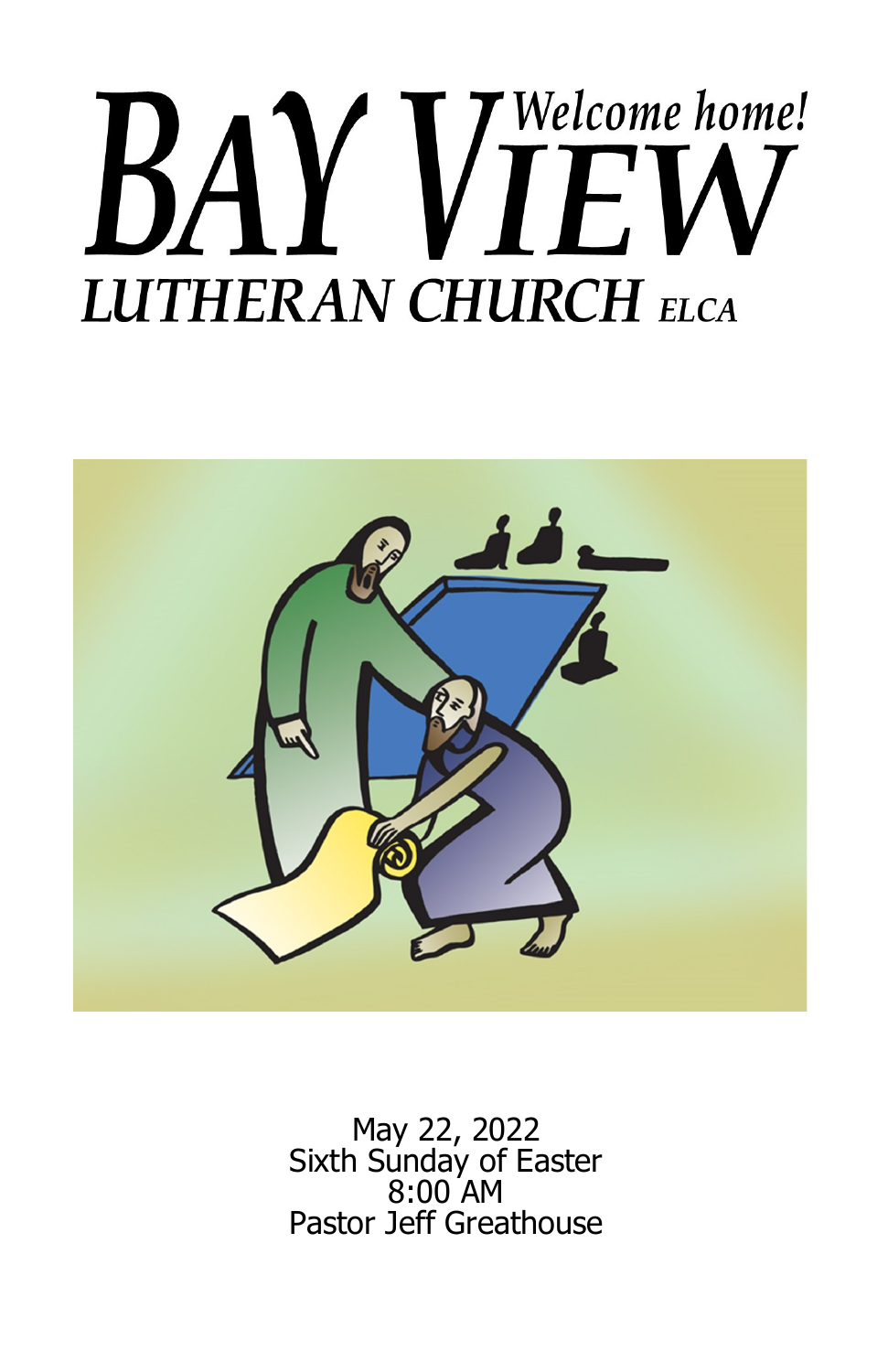# Welcome home! **LUTHERAN CHURCH ELCA**



May 22, 2022 Sixth Sunday of Easter 8:00 AM Pastor Jeff Greathouse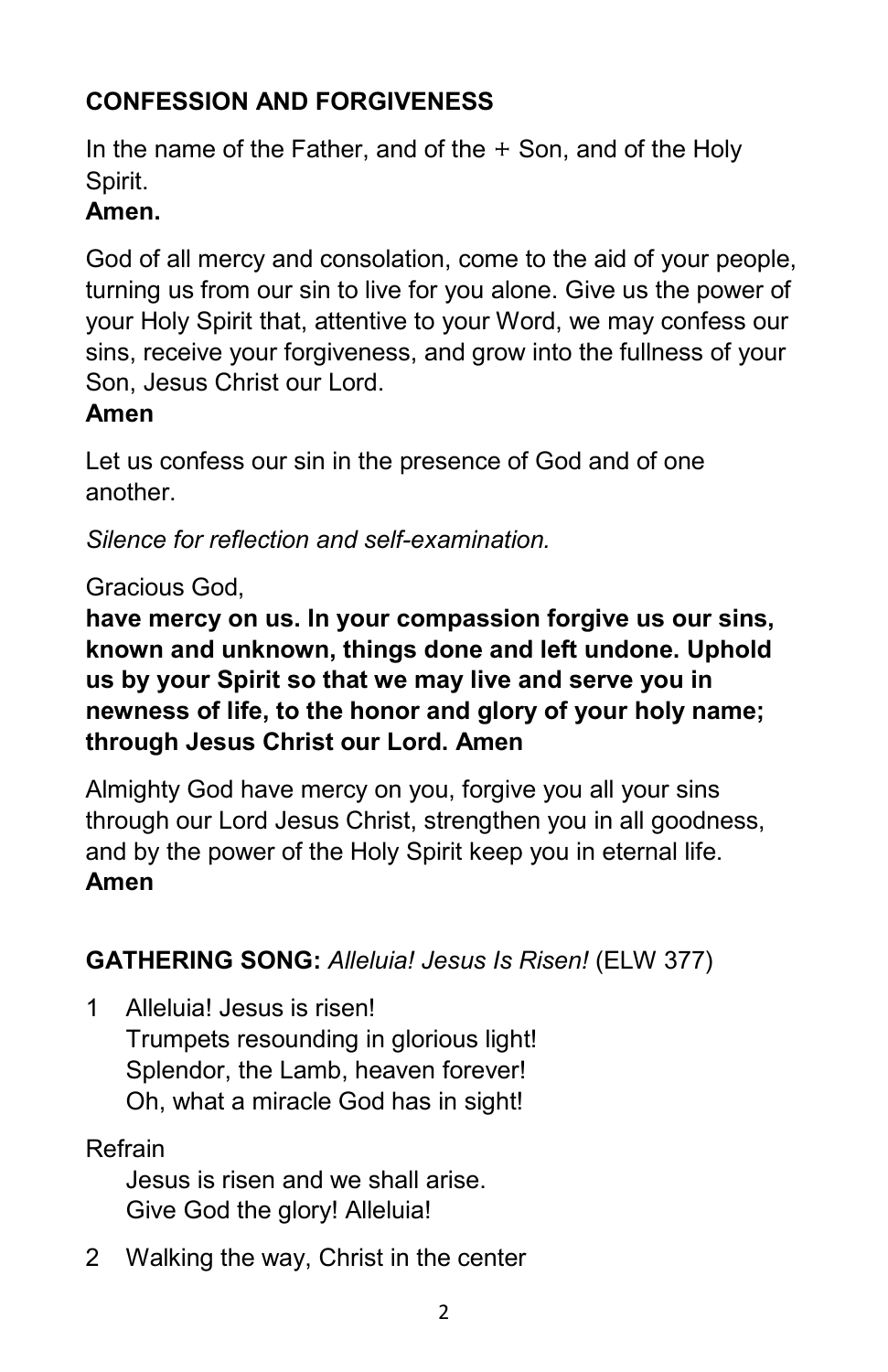# **CONFESSION AND FORGIVENESS**

In the name of the Father, and of the  $+$  Son, and of the Holy Spirit.

# **Amen.**

God of all mercy and consolation, come to the aid of your people, turning us from our sin to live for you alone. Give us the power of your Holy Spirit that, attentive to your Word, we may confess our sins, receive your forgiveness, and grow into the fullness of your Son, Jesus Christ our Lord.

# **Amen**

Let us confess our sin in the presence of God and of one another.

*Silence for reflection and self-examination.*

# Gracious God,

**have mercy on us. In your compassion forgive us our sins, known and unknown, things done and left undone. Uphold us by your Spirit so that we may live and serve you in newness of life, to the honor and glory of your holy name; through Jesus Christ our Lord. Amen**

Almighty God have mercy on you, forgive you all your sins through our Lord Jesus Christ, strengthen you in all goodness, and by the power of the Holy Spirit keep you in eternal life. **Amen**

# **GATHERING SONG:** *Alleluia! Jesus Is Risen!* (ELW 377)

1 Alleluia! Jesus is risen! Trumpets resounding in glorious light! Splendor, the Lamb, heaven forever! Oh, what a miracle God has in sight!

# Refrain

Jesus is risen and we shall arise. Give God the glory! Alleluia!

2 Walking the way, Christ in the center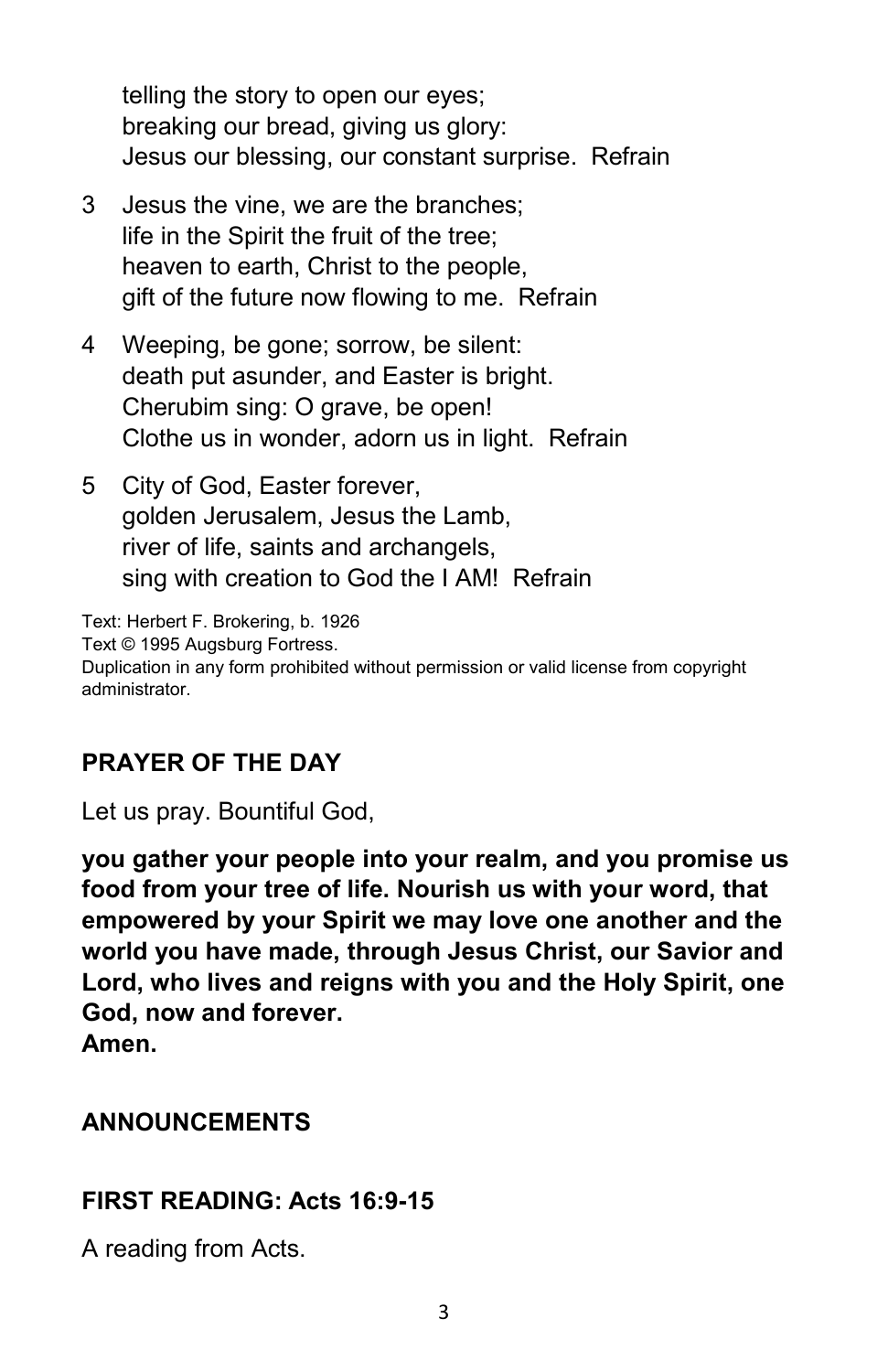telling the story to open our eyes; breaking our bread, giving us glory: Jesus our blessing, our constant surprise. Refrain

- 3 Jesus the vine, we are the branches; life in the Spirit the fruit of the tree; heaven to earth, Christ to the people, gift of the future now flowing to me. Refrain
- 4 Weeping, be gone; sorrow, be silent: death put asunder, and Easter is bright. Cherubim sing: O grave, be open! Clothe us in wonder, adorn us in light. Refrain
- 5 City of God, Easter forever, golden Jerusalem, Jesus the Lamb, river of life, saints and archangels, sing with creation to God the I AM! Refrain

Text: Herbert F. Brokering, b. 1926 Text © 1995 Augsburg Fortress. Duplication in any form prohibited without permission or valid license from copyright administrator.

# **PRAYER OF THE DAY**

Let us pray. Bountiful God,

**you gather your people into your realm, and you promise us food from your tree of life. Nourish us with your word, that empowered by your Spirit we may love one another and the world you have made, through Jesus Christ, our Savior and Lord, who lives and reigns with you and the Holy Spirit, one God, now and forever. Amen.**

#### **ANNOUNCEMENTS**

#### **FIRST READING: Acts 16:9-15**

A reading from Acts.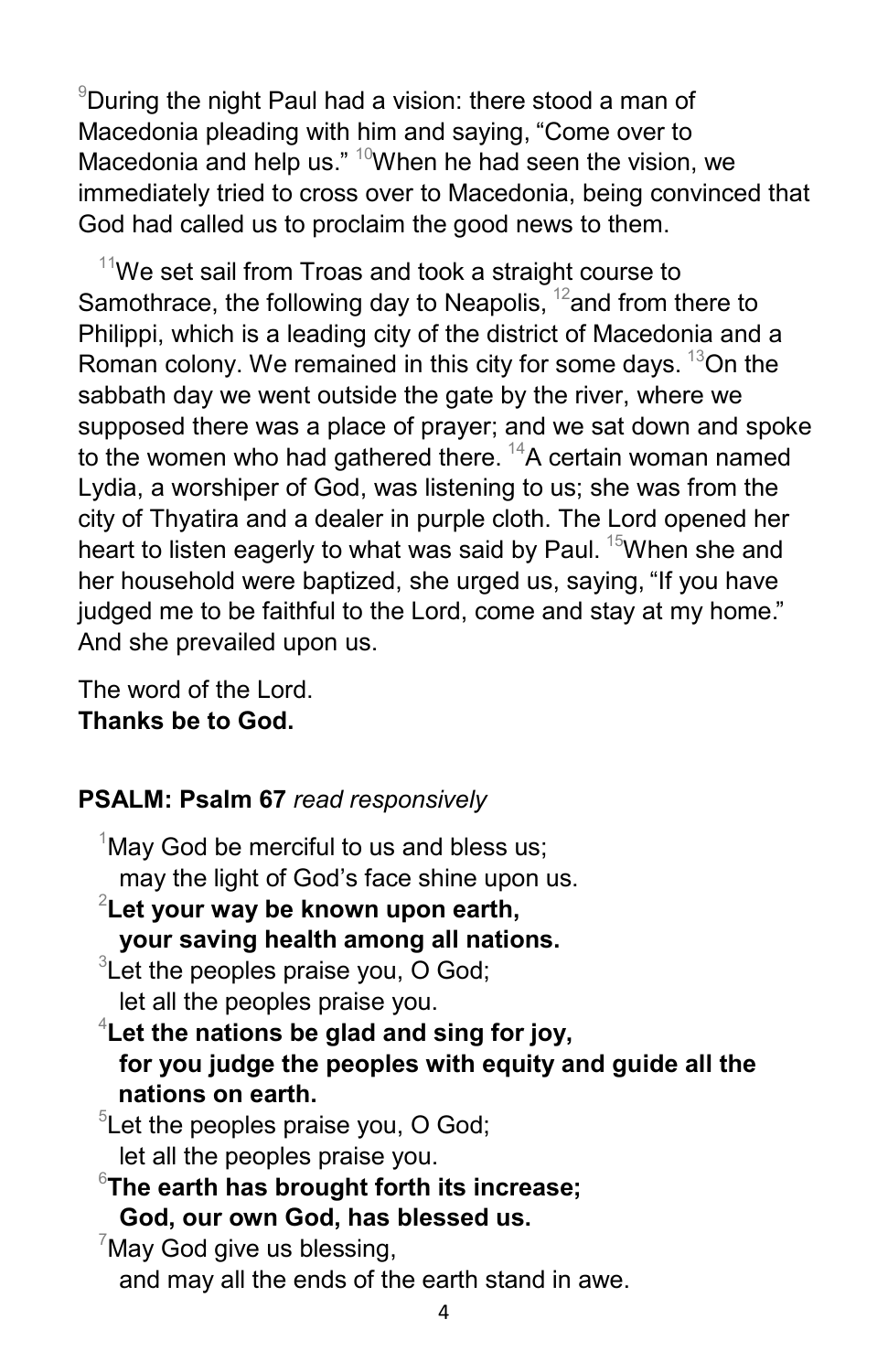$9$ During the night Paul had a vision: there stood a man of Macedonia pleading with him and saying, "Come over to Macedonia and help us."  $10$ When he had seen the vision, we immediately tried to cross over to Macedonia, being convinced that God had called us to proclaim the good news to them.

 $11$ We set sail from Troas and took a straight course to Samothrace, the following day to Neapolis,  $12$  and from there to Philippi, which is a leading city of the district of Macedonia and a Roman colony. We remained in this city for some days.  $13$ On the sabbath day we went outside the gate by the river, where we supposed there was a place of prayer; and we sat down and spoke to the women who had gathered there.  $^{14}$ A certain woman named Lydia, a worshiper of God, was listening to us; she was from the city of Thyatira and a dealer in purple cloth. The Lord opened her heart to listen eagerly to what was said by Paul.  $15$ When she and her household were baptized, she urged us, saying, "If you have judged me to be faithful to the Lord, come and stay at my home." And she prevailed upon us.

The word of the Lord. **Thanks be to God.**

## **PSALM: Psalm 67** *read responsively*

 $1$ May God be merciful to us and bless us; may the light of God's face shine upon us. 2 **Let your way be known upon earth, your saving health among all nations.**  ${}^{3}$ Let the peoples praise you, O God; let all the peoples praise you. 4 **Let the nations be glad and sing for joy, for you judge the peoples with equity and guide all the nations on earth.**  $5$ Let the peoples praise you, O God; let all the peoples praise you. 6 **The earth has brought forth its increase; God, our own God, has blessed us.**  $7$ May God give us blessing, and may all the ends of the earth stand in awe.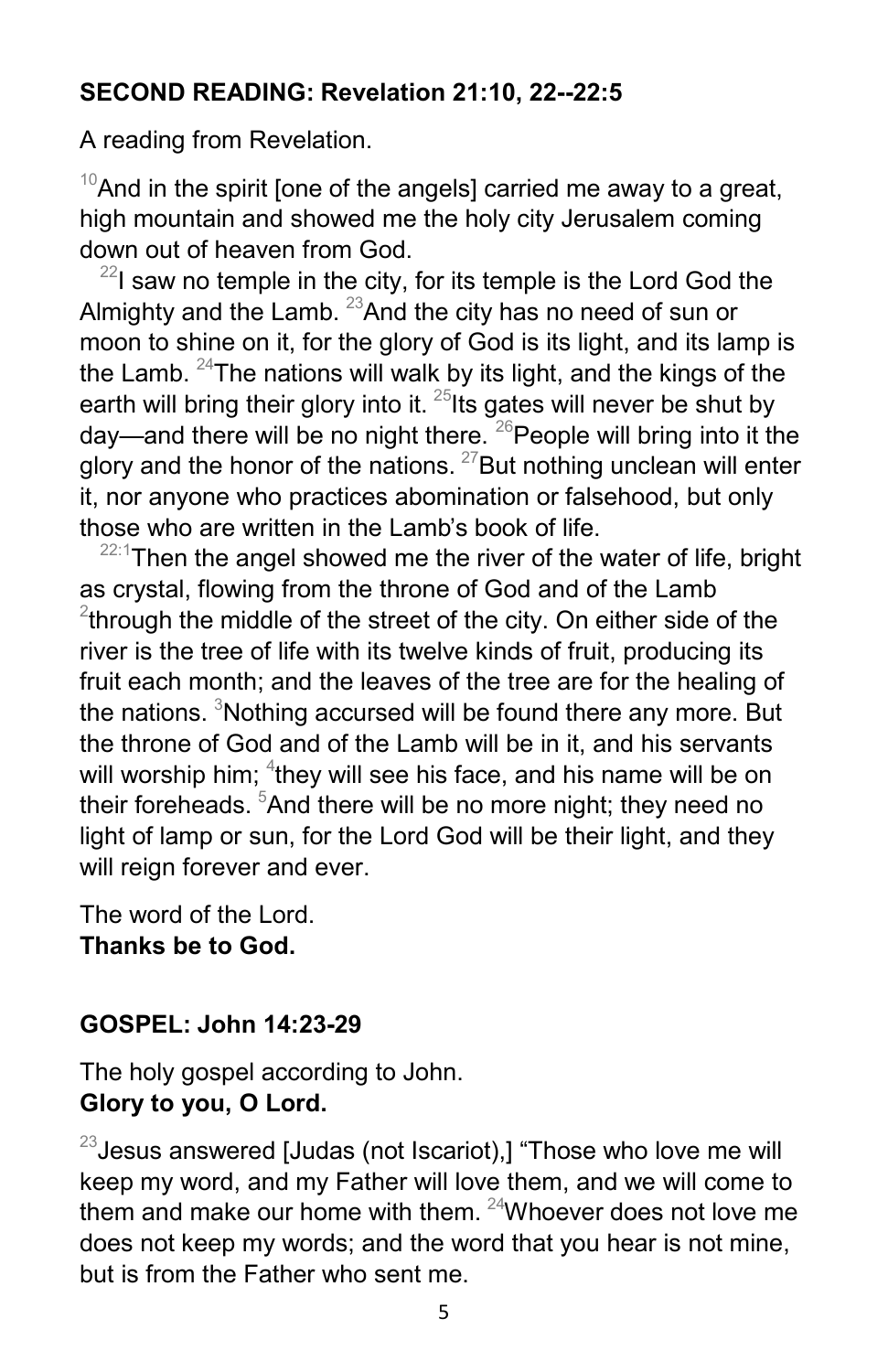#### **SECOND READING: Revelation 21:10, 22--22:5**

A reading from Revelation.

 $10$ And in the spirit [one of the angels] carried me away to a great, high mountain and showed me the holy city Jerusalem coming down out of heaven from God.

 $^{22}$ I saw no temple in the city, for its temple is the Lord God the Almighty and the Lamb.  $^{23}$ And the city has no need of sun or moon to shine on it, for the glory of God is its light, and its lamp is the Lamb.  $24$ The nations will walk by its light, and the kings of the earth will bring their glory into it.  $^{25}$ Its gates will never be shut by day—and there will be no night there.  $26$  People will bring into it the glory and the honor of the nations.  $27$  But nothing unclean will enter it, nor anyone who practices abomination or falsehood, but only those who are written in the Lamb's book of life.

 $22:1$ Then the angel showed me the river of the water of life, bright as crystal, flowing from the throne of God and of the Lamb  $^{2}$ through the middle of the street of the city. On either side of the river is the tree of life with its twelve kinds of fruit, producing its fruit each month; and the leaves of the tree are for the healing of the nations.  $3$ Nothing accursed will be found there any more. But the throne of God and of the Lamb will be in it, and his servants will worship him;  ${}^4$ they will see his face, and his name will be on their foreheads. <sup>5</sup>And there will be no more night; they need no light of lamp or sun, for the Lord God will be their light, and they will reign forever and ever.

The word of the Lord. **Thanks be to God.**

#### **GOSPEL: John 14:23-29**

The holy gospel according to John. **Glory to you, O Lord.**

 $^{23}$ Jesus answered [Judas (not Iscariot),] "Those who love me will keep my word, and my Father will love them, and we will come to them and make our home with them.  $24$ Whoever does not love me does not keep my words; and the word that you hear is not mine, but is from the Father who sent me.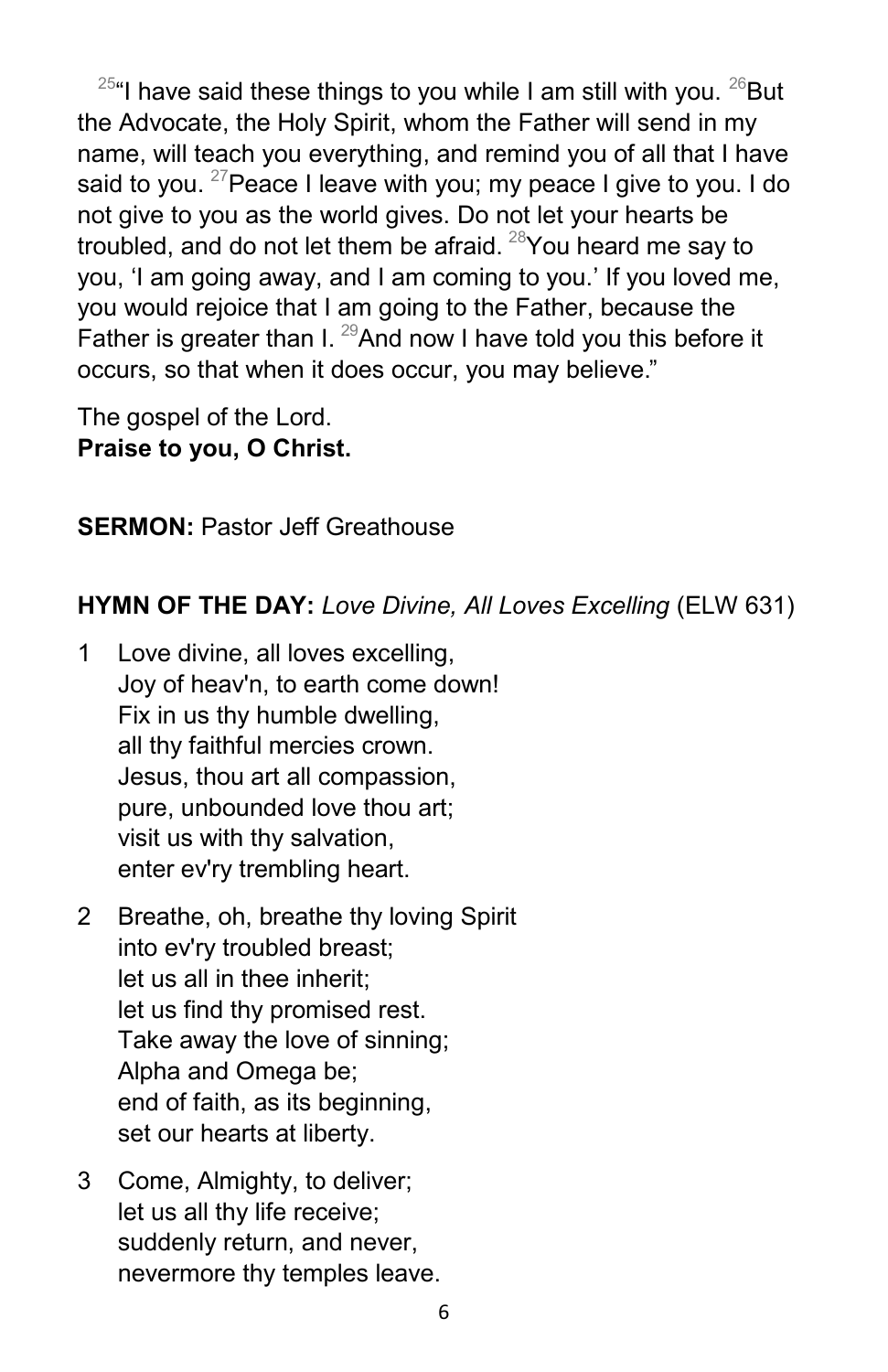$^{25}$ "I have said these things to you while I am still with you.  $^{26}$ But the Advocate, the Holy Spirit, whom the Father will send in my name, will teach you everything, and remind you of all that I have said to you. <sup>27</sup> Peace I leave with you; my peace I give to you. I do not give to you as the world gives. Do not let your hearts be troubled, and do not let them be afraid. <sup>28</sup>You heard me say to you, 'I am going away, and I am coming to you.' If you loved me, you would rejoice that I am going to the Father, because the Father is greater than I.  $^{29}$ And now I have told you this before it occurs, so that when it does occur, you may believe."

The gospel of the Lord. **Praise to you, O Christ.**

**SERMON:** Pastor Jeff Greathouse

## **HYMN OF THE DAY:** *Love Divine, All Loves Excelling* (ELW 631)

- 1 Love divine, all loves excelling, Joy of heav'n, to earth come down! Fix in us thy humble dwelling, all thy faithful mercies crown. Jesus, thou art all compassion, pure, unbounded love thou art; visit us with thy salvation, enter ev'ry trembling heart.
- 2 Breathe, oh, breathe thy loving Spirit into ev'ry troubled breast; let us all in thee inherit; let us find thy promised rest. Take away the love of sinning; Alpha and Omega be; end of faith, as its beginning, set our hearts at liberty.
- 3 Come, Almighty, to deliver; let us all thy life receive; suddenly return, and never, nevermore thy temples leave.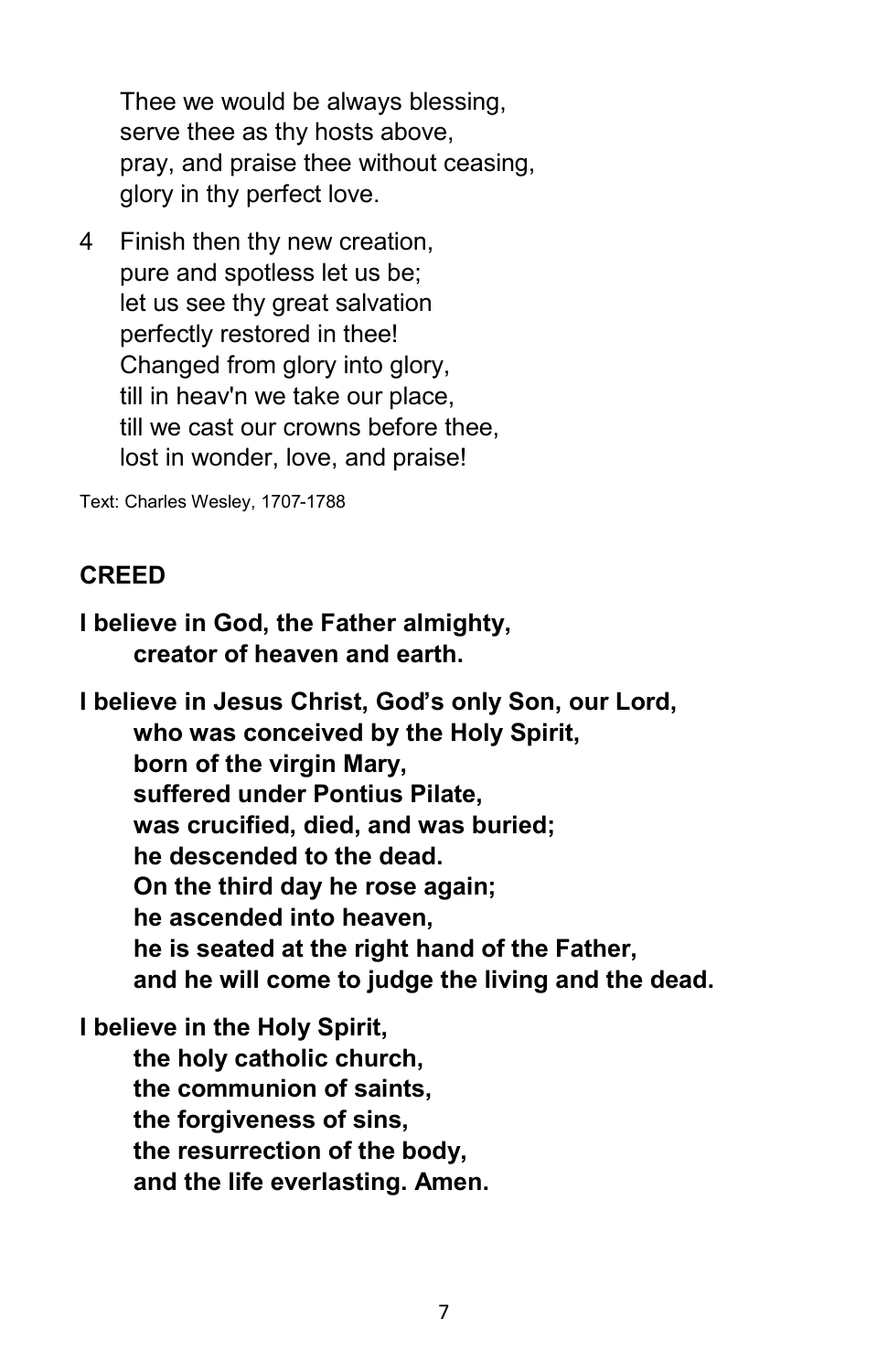Thee we would be always blessing, serve thee as thy hosts above, pray, and praise thee without ceasing, glory in thy perfect love.

4 Finish then thy new creation, pure and spotless let us be; let us see thy great salvation perfectly restored in thee! Changed from glory into glory, till in heav'n we take our place, till we cast our crowns before thee, lost in wonder, love, and praise!

Text: Charles Wesley, 1707-1788

#### **CREED**

**I believe in God, the Father almighty, creator of heaven and earth.**

**I believe in Jesus Christ, God's only Son, our Lord, who was conceived by the Holy Spirit, born of the virgin Mary, suffered under Pontius Pilate, was crucified, died, and was buried; he descended to the dead. On the third day he rose again; he ascended into heaven, he is seated at the right hand of the Father, and he will come to judge the living and the dead.**

## **I believe in the Holy Spirit, the holy catholic church, the communion of saints, the forgiveness of sins, the resurrection of the body, and the life everlasting. Amen.**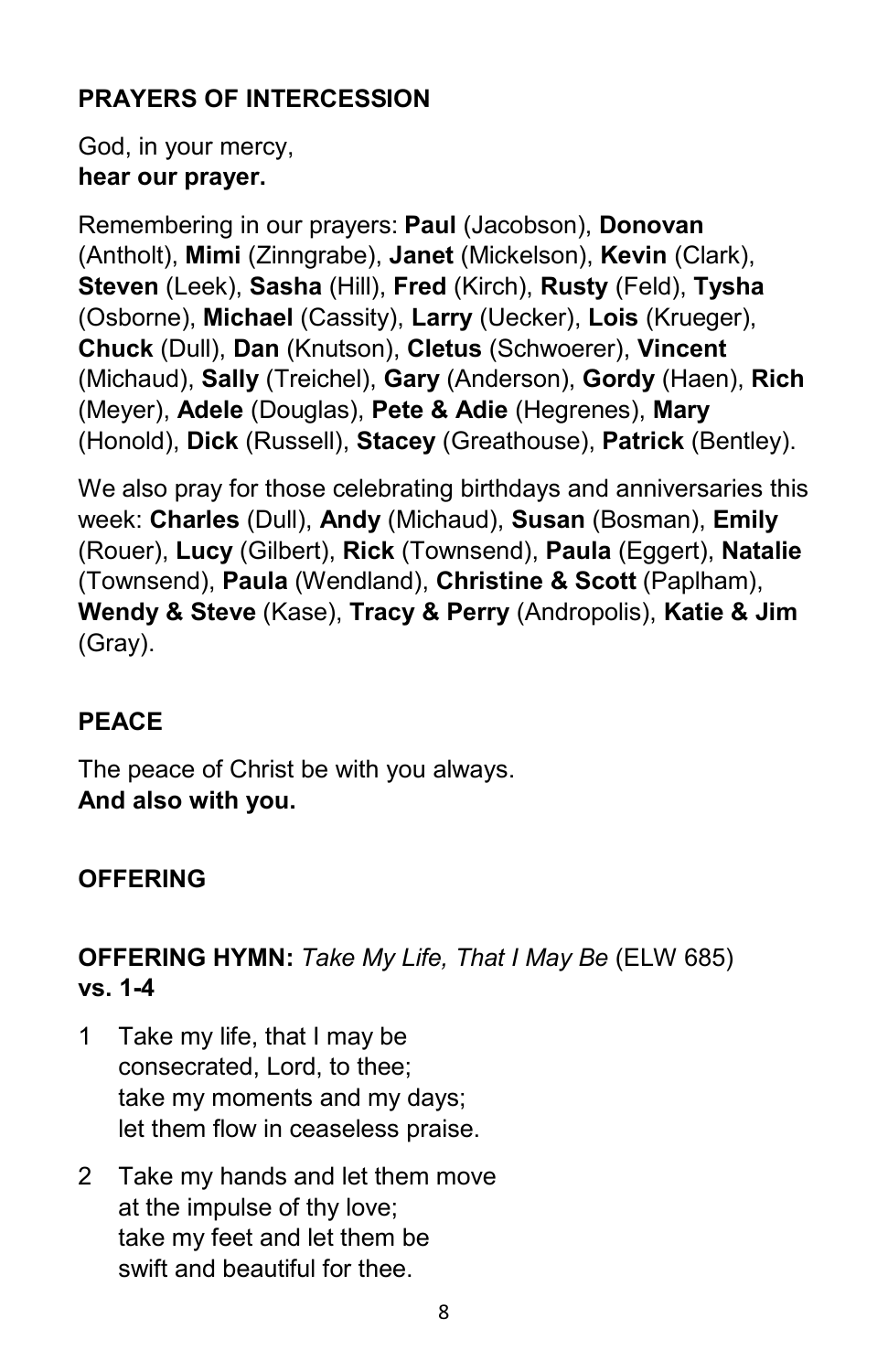# **PRAYERS OF INTERCESSION**

God, in your mercy, **hear our prayer.**

Remembering in our prayers: **Paul** (Jacobson), **Donovan**  (Antholt), **Mimi** (Zinngrabe), **Janet** (Mickelson), **Kevin** (Clark), **Steven** (Leek), **Sasha** (Hill), **Fred** (Kirch), **Rusty** (Feld), **Tysha**  (Osborne), **Michael** (Cassity), **Larry** (Uecker), **Lois** (Krueger), **Chuck** (Dull), **Dan** (Knutson), **Cletus** (Schwoerer), **Vincent**  (Michaud), **Sally** (Treichel), **Gary** (Anderson), **Gordy** (Haen), **Rich**  (Meyer), **Adele** (Douglas), **Pete & Adie** (Hegrenes), **Mary**  (Honold), **Dick** (Russell), **Stacey** (Greathouse), **Patrick** (Bentley).

We also pray for those celebrating birthdays and anniversaries this week: **Charles** (Dull), **Andy** (Michaud), **Susan** (Bosman), **Emily**  (Rouer), **Lucy** (Gilbert), **Rick** (Townsend), **Paula** (Eggert), **Natalie**  (Townsend), **Paula** (Wendland), **Christine & Scott** (Paplham), **Wendy & Steve** (Kase), **Tracy & Perry** (Andropolis), **Katie & Jim**  (Gray).

# **PEACE**

The peace of Christ be with you always. **And also with you.**

# **OFFERING**

## **OFFERING HYMN:** *Take My Life, That I May Be* (ELW 685) **vs. 1-4**

- 1 Take my life, that I may be consecrated, Lord, to thee; take my moments and my days; let them flow in ceaseless praise.
- 2 Take my hands and let them move at the impulse of thy love; take my feet and let them be swift and beautiful for thee.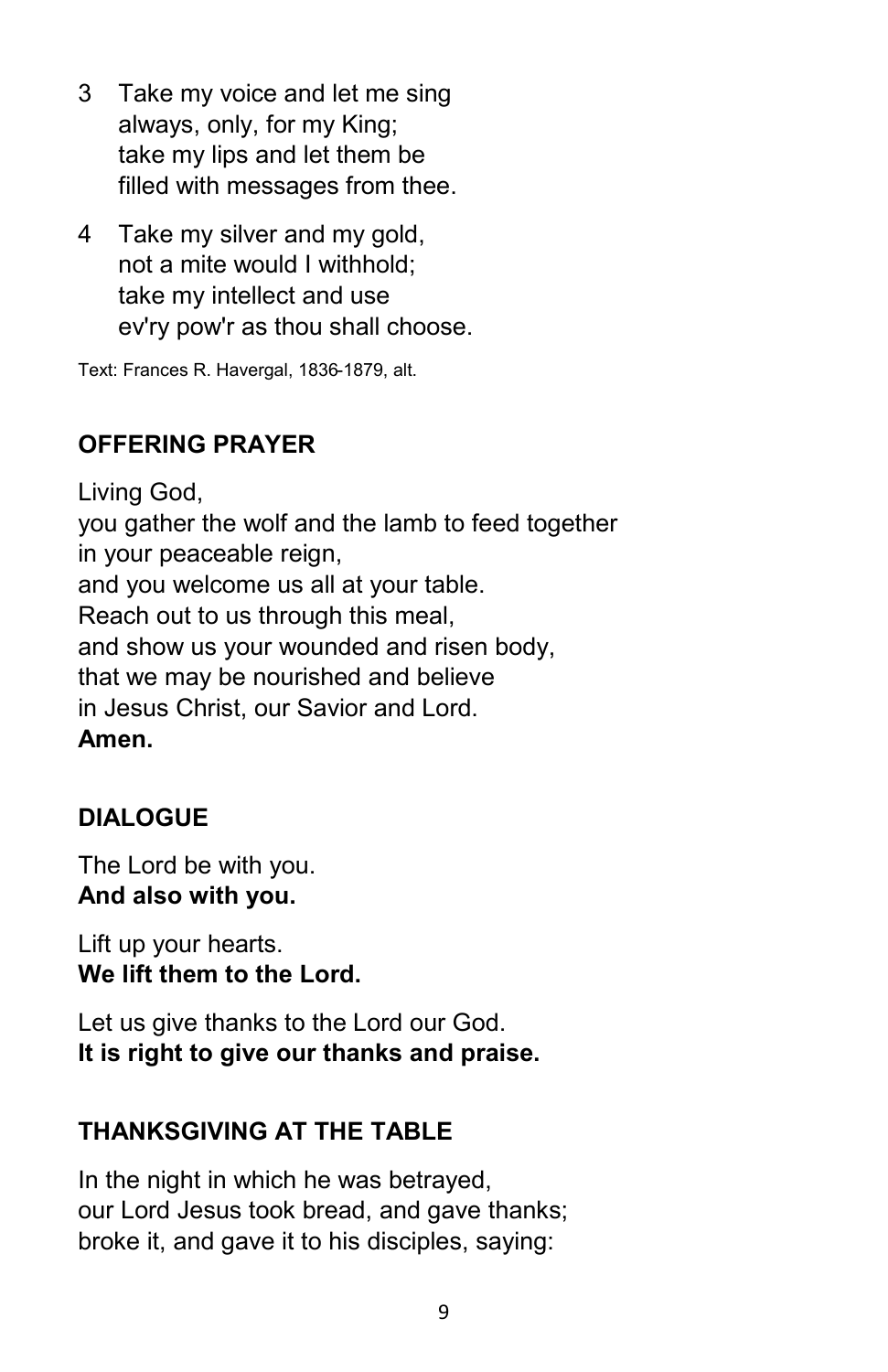- 3 Take my voice and let me sing always, only, for my King; take my lips and let them be filled with messages from thee.
- 4 Take my silver and my gold, not a mite would I withhold; take my intellect and use ev'ry pow'r as thou shall choose.

Text: Frances R. Havergal, 1836-1879, alt.

# **OFFERING PRAYER**

Living God, you gather the wolf and the lamb to feed together in your peaceable reign, and you welcome us all at your table. Reach out to us through this meal, and show us your wounded and risen body, that we may be nourished and believe in Jesus Christ, our Savior and Lord. **Amen.**

# **DIALOGUE**

The Lord be with you. **And also with you.**

Lift up your hearts. **We lift them to the Lord.**

Let us give thanks to the Lord our God. **It is right to give our thanks and praise.**

## **THANKSGIVING AT THE TABLE**

In the night in which he was betrayed, our Lord Jesus took bread, and gave thanks; broke it, and gave it to his disciples, saying: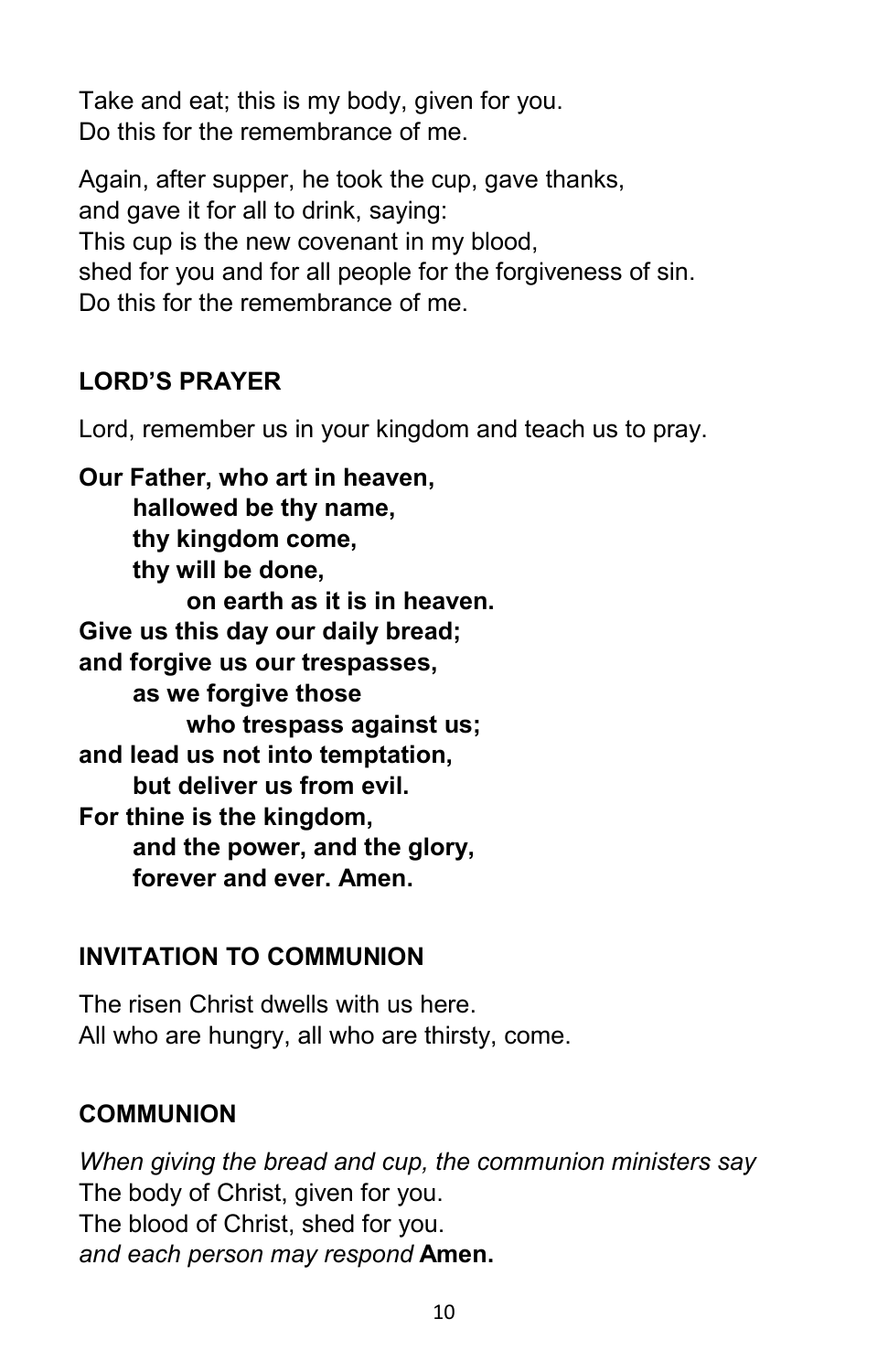Take and eat; this is my body, given for you. Do this for the remembrance of me.

Again, after supper, he took the cup, gave thanks, and gave it for all to drink, saying: This cup is the new covenant in my blood, shed for you and for all people for the forgiveness of sin. Do this for the remembrance of me.

# **LORD'S PRAYER**

Lord, remember us in your kingdom and teach us to pray.

**Our Father, who art in heaven, hallowed be thy name, thy kingdom come, thy will be done, on earth as it is in heaven. Give us this day our daily bread; and forgive us our trespasses, as we forgive those who trespass against us; and lead us not into temptation, but deliver us from evil. For thine is the kingdom, and the power, and the glory, forever and ever. Amen.**

## **INVITATION TO COMMUNION**

The risen Christ dwells with us here. All who are hungry, all who are thirsty, come.

#### **COMMUNION**

*When giving the bread and cup, the communion ministers say* The body of Christ, given for you. The blood of Christ, shed for you. *and each person may respond* **Amen.**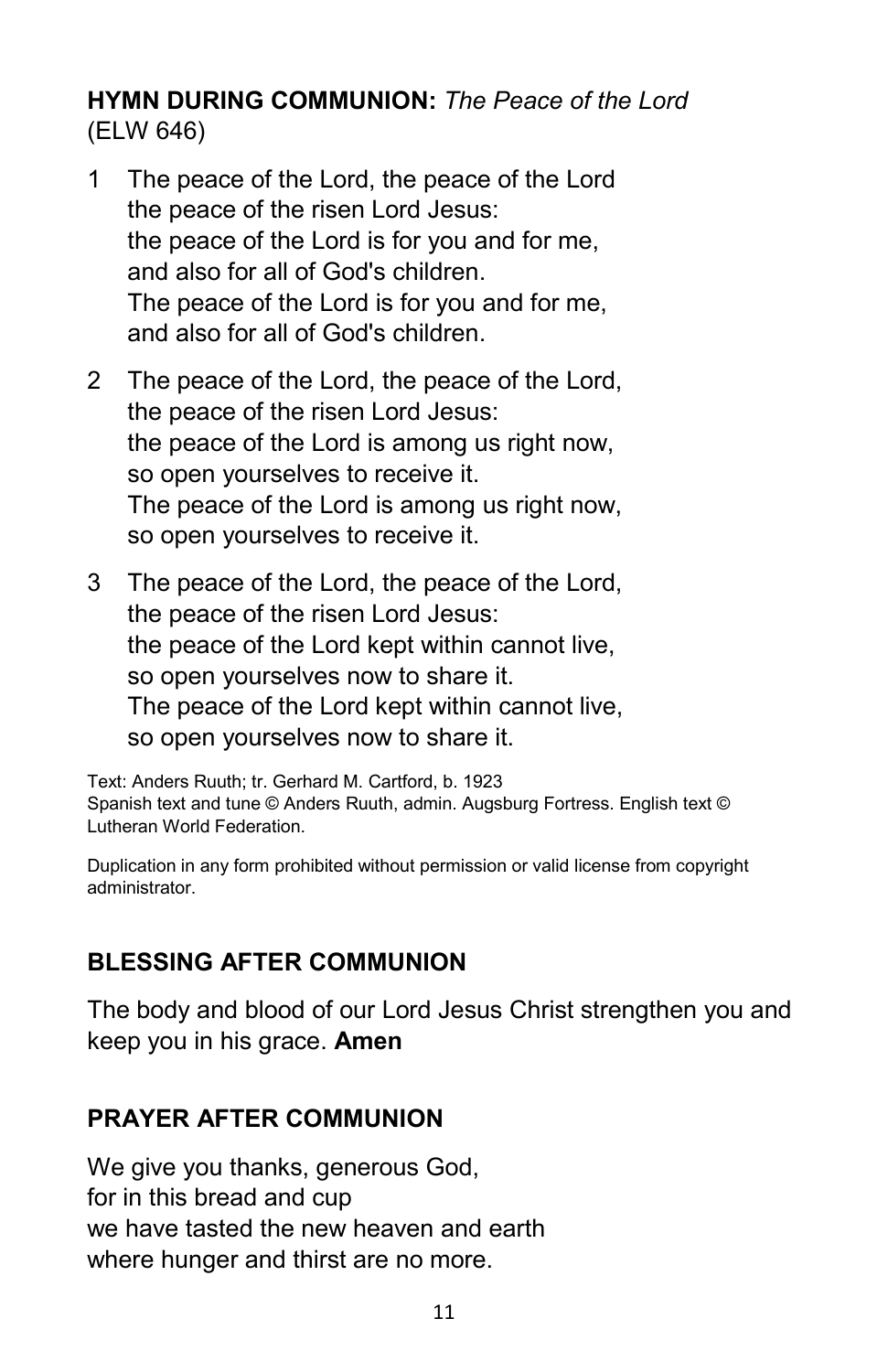#### **HYMN DURING COMMUNION:** *The Peace of the Lord* (ELW 646)

- 1 The peace of the Lord, the peace of the Lord the peace of the risen Lord Jesus: the peace of the Lord is for you and for me, and also for all of God's children. The peace of the Lord is for you and for me, and also for all of God's children.
- 2 The peace of the Lord, the peace of the Lord, the peace of the risen Lord Jesus: the peace of the Lord is among us right now, so open yourselves to receive it. The peace of the Lord is among us right now, so open yourselves to receive it.
- 3 The peace of the Lord, the peace of the Lord, the peace of the risen Lord Jesus: the peace of the Lord kept within cannot live, so open yourselves now to share it. The peace of the Lord kept within cannot live, so open yourselves now to share it.

Text: Anders Ruuth; tr. Gerhard M. Cartford, b. 1923 Spanish text and tune © Anders Ruuth, admin. Augsburg Fortress. English text © Lutheran World Federation.

Duplication in any form prohibited without permission or valid license from copyright administrator.

## **BLESSING AFTER COMMUNION**

The body and blood of our Lord Jesus Christ strengthen you and keep you in his grace. **Amen** 

## **PRAYER AFTER COMMUNION**

We give you thanks, generous God, for in this bread and cup we have tasted the new heaven and earth where hunger and thirst are no more.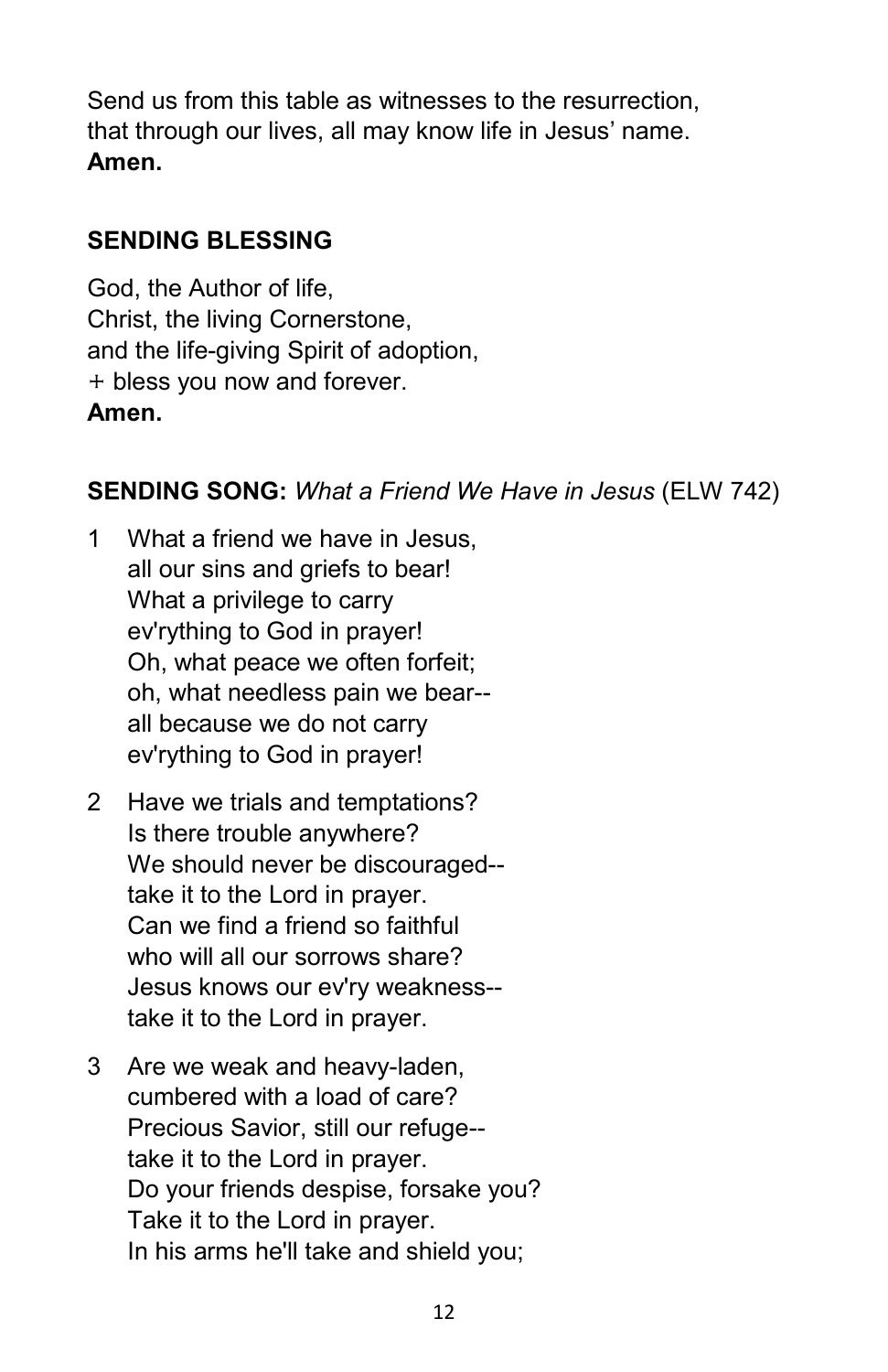Send us from this table as witnesses to the resurrection, that through our lives, all may know life in Jesus' name. **Amen.**

## **SENDING BLESSING**

God, the Author of life, Christ, the living Cornerstone, and the life-giving Spirit of adoption,  $+$  bless you now and forever. **Amen.**

#### **SENDING SONG:** *What a Friend We Have in Jesus* (ELW 742)

- 1 What a friend we have in Jesus, all our sins and griefs to bear! What a privilege to carry ev'rything to God in prayer! Oh, what peace we often forfeit; oh, what needless pain we bear- all because we do not carry ev'rything to God in prayer!
- 2 Have we trials and temptations? Is there trouble anywhere? We should never be discouraged- take it to the Lord in prayer. Can we find a friend so faithful who will all our sorrows share? Jesus knows our ev'ry weakness- take it to the Lord in prayer.
- 3 Are we weak and heavy-laden, cumbered with a load of care? Precious Savior, still our refuge- take it to the Lord in prayer. Do your friends despise, forsake you? Take it to the Lord in prayer. In his arms he'll take and shield you;